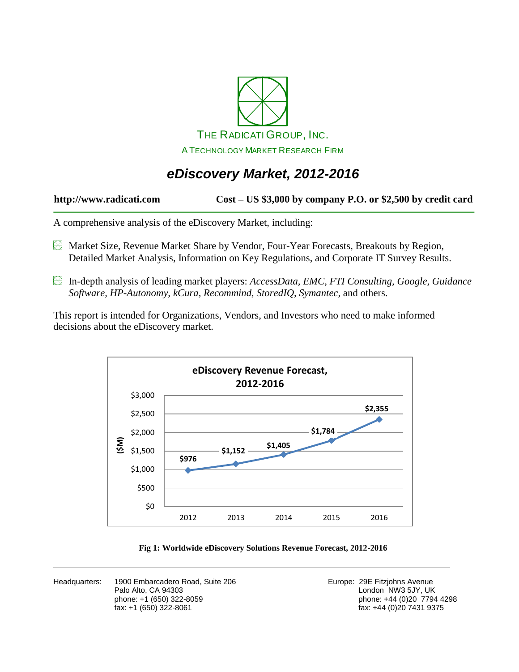

# *eDiscovery Market, 2012-2016*

#### **http://www.radicati.com Cost – US \$3,000 by company P.O. or \$2,500 by credit card**

A comprehensive analysis of the eDiscovery Market, including:

- Market Size, Revenue Market Share by Vendor, Four-Year Forecasts, Breakouts by Region, Detailed Market Analysis, Information on Key Regulations, and Corporate IT Survey Results.
- In-depth analysis of leading market players: *AccessData, EMC, FTI Consulting, Google, Guidance Software, HP-Autonomy, kCura, Recommind, StoredIQ, Symantec,* and others.

This report is intended for Organizations, Vendors, and Investors who need to make informed decisions about the eDiscovery market.



#### **Fig 1: Worldwide eDiscovery Solutions Revenue Forecast, 2012-2016**

Headquarters: 1900 Embarcadero Road, Suite 206 **Europe: 29 Europe: 29E Fitzjohns Avenue** Palo Alto, CA 94303<br>
phone: +1 (650) 322-8059<br>
phone: +44 (0)20 7794 fax: +1 (650) 322-8061 fax: +44 (0)20 7431 9375

phone: +44 (0)20 7794 4298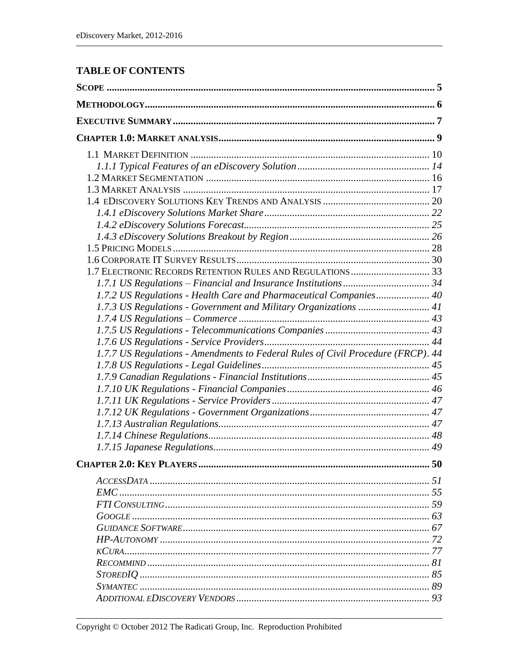### **TABLE OF CONTENTS**

| 1.7.2 US Regulations - Health Care and Pharmaceutical Companies 40<br>50         |
|----------------------------------------------------------------------------------|
| 1.7.7 US Regulations - Amendments to Federal Rules of Civil Procedure (FRCP). 44 |
|                                                                                  |
|                                                                                  |
|                                                                                  |
|                                                                                  |
|                                                                                  |
|                                                                                  |
|                                                                                  |
|                                                                                  |
|                                                                                  |
|                                                                                  |
|                                                                                  |
|                                                                                  |
|                                                                                  |
|                                                                                  |
|                                                                                  |
|                                                                                  |
|                                                                                  |
|                                                                                  |
|                                                                                  |
|                                                                                  |
|                                                                                  |
|                                                                                  |
|                                                                                  |
|                                                                                  |
|                                                                                  |
|                                                                                  |
|                                                                                  |
|                                                                                  |
|                                                                                  |
|                                                                                  |
|                                                                                  |
|                                                                                  |
|                                                                                  |
|                                                                                  |
|                                                                                  |
|                                                                                  |
|                                                                                  |
|                                                                                  |
|                                                                                  |
|                                                                                  |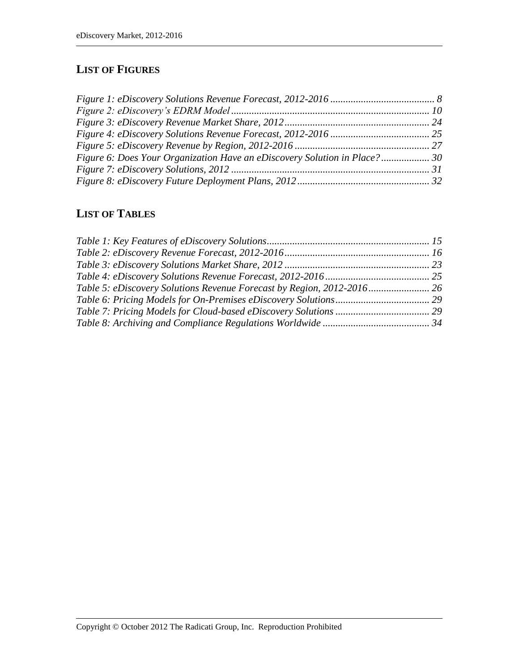### **LIST OF FIGURES**

| Figure 6: Does Your Organization Have an eDiscovery Solution in Place?30 |  |
|--------------------------------------------------------------------------|--|
|                                                                          |  |
|                                                                          |  |

## **LIST OF TABLES**

| Table 5: eDiscovery Solutions Revenue Forecast by Region, 2012-2016 |  |
|---------------------------------------------------------------------|--|
|                                                                     |  |
|                                                                     |  |
|                                                                     |  |